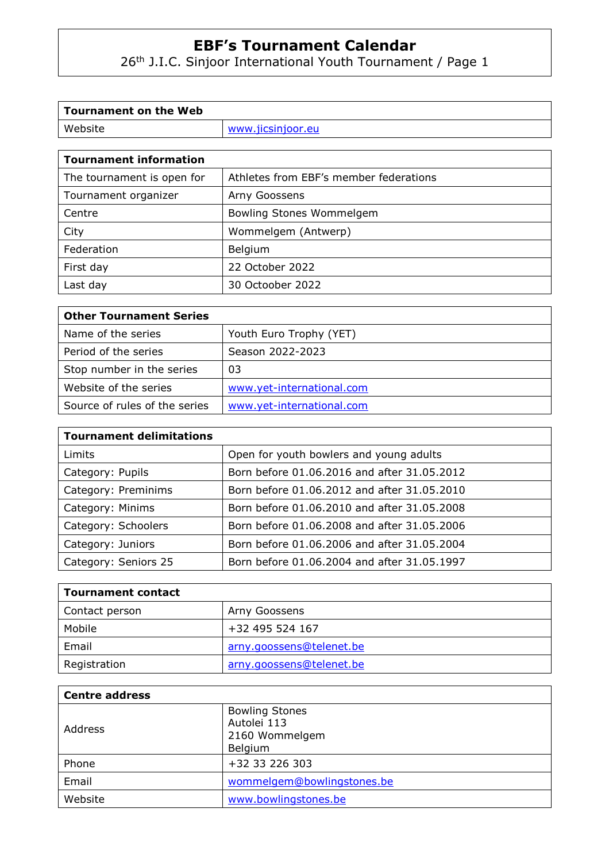26th J.I.C. Sinjoor International Youth Tournament / Page 1

| Tournament on the Web    |                   |
|--------------------------|-------------------|
| Website                  | www.jicsinjoor.eu |
|                          |                   |
| l Tournament information |                   |

| , varnament monnativn      |                                        |
|----------------------------|----------------------------------------|
| The tournament is open for | Athletes from EBF's member federations |
| Tournament organizer       | Arny Goossens                          |
| Centre                     | Bowling Stones Wommelgem               |
| City                       | Wommelgem (Antwerp)                    |
| Federation                 | Belgium                                |
| First day                  | 22 October 2022                        |
| Last day                   | 30 Octoober 2022                       |

| <b>Other Tournament Series</b> |                           |
|--------------------------------|---------------------------|
| Name of the series             | Youth Euro Trophy (YET)   |
| Period of the series           | Season 2022-2023          |
| Stop number in the series      | 03                        |
| Website of the series          | www.yet-international.com |
| Source of rules of the series  | www.yet-international.com |

| <b>Tournament delimitations</b> |                                             |
|---------------------------------|---------------------------------------------|
| Limits                          | Open for youth bowlers and young adults     |
| Category: Pupils                | Born before 01.06.2016 and after 31.05.2012 |
| Category: Preminims             | Born before 01.06.2012 and after 31.05.2010 |
| Category: Minims                | Born before 01.06.2010 and after 31.05.2008 |
| Category: Schoolers             | Born before 01.06.2008 and after 31.05.2006 |
| Category: Juniors               | Born before 01.06.2006 and after 31.05.2004 |
| Category: Seniors 25            | Born before 01.06.2004 and after 31.05.1997 |

| <b>Tournament contact</b> |                          |  |
|---------------------------|--------------------------|--|
| Contact person            | Arny Goossens            |  |
| Mobile                    | +32 495 524 167          |  |
| Email                     | arny.goossens@telenet.be |  |
| Registration              | arny.goossens@telenet.be |  |

| <b>Centre address</b> |                                                                   |
|-----------------------|-------------------------------------------------------------------|
| Address               | <b>Bowling Stones</b><br>Autolei 113<br>2160 Wommelgem<br>Belgium |
| Phone                 | +32 33 226 303                                                    |
| Email                 | wommelgem@bowlingstones.be                                        |
| Website               | www.bowlingstones.be                                              |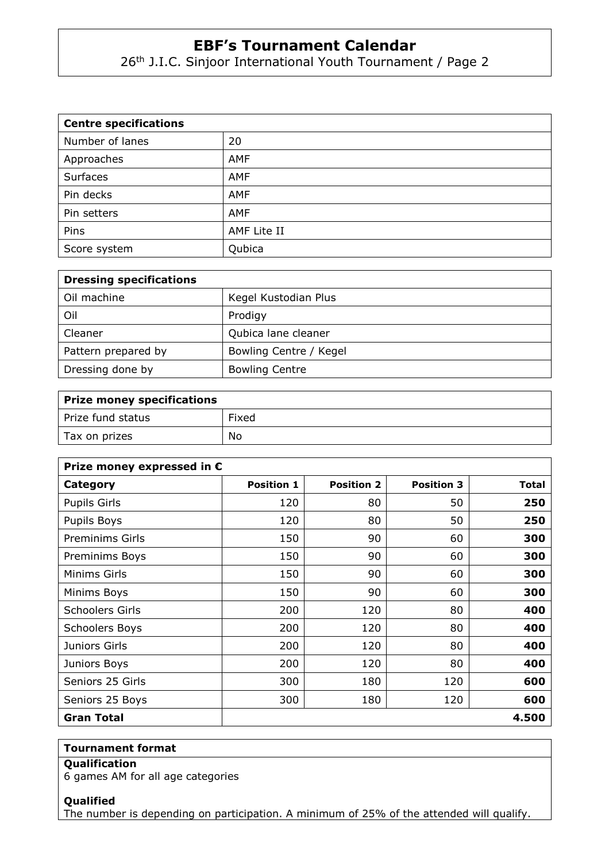26<sup>th</sup> J.I.C. Sinjoor International Youth Tournament / Page 2

| <b>Centre specifications</b> |             |  |
|------------------------------|-------------|--|
| Number of lanes              | 20          |  |
| Approaches                   | AMF         |  |
| Surfaces                     | <b>AMF</b>  |  |
| Pin decks                    | AMF         |  |
| Pin setters                  | <b>AMF</b>  |  |
| Pins                         | AMF Lite II |  |
| Score system                 | Qubica      |  |

| <b>Dressing specifications</b> |                        |
|--------------------------------|------------------------|
| Oil machine                    | Kegel Kustodian Plus   |
| Oil                            | Prodigy                |
| Cleaner                        | Qubica lane cleaner    |
| Pattern prepared by            | Bowling Centre / Kegel |
| Dressing done by               | <b>Bowling Centre</b>  |

| Prize money specifications |       |  |
|----------------------------|-------|--|
| Prize fund status          | Fixed |  |
| Tax on prizes              | No    |  |

| Prize money expressed in € |                   |                   |                   |              |
|----------------------------|-------------------|-------------------|-------------------|--------------|
| Category                   | <b>Position 1</b> | <b>Position 2</b> | <b>Position 3</b> | <b>Total</b> |
| <b>Pupils Girls</b>        | 120               | 80                | 50                | 250          |
| Pupils Boys                | 120               | 80                | 50                | 250          |
| <b>Preminims Girls</b>     | 150               | 90                | 60                | 300          |
| Preminims Boys             | 150               | 90                | 60                | 300          |
| Minims Girls               | 150               | 90                | 60                | 300          |
| Minims Boys                | 150               | 90                | 60                | 300          |
| <b>Schoolers Girls</b>     | 200               | 120               | 80                | 400          |
| <b>Schoolers Boys</b>      | 200               | 120               | 80                | 400          |
| Juniors Girls              | 200               | 120               | 80                | 400          |
| Juniors Boys               | 200               | 120               | 80                | 400          |
| Seniors 25 Girls           | 300               | 180               | 120               | 600          |
| Seniors 25 Boys            | 300               | 180               | 120               | 600          |
| Gran Total                 |                   |                   |                   | 4.500        |

### **Tournament format**

# **Qualification**

6 games AM for all age categories

### **Qualified**

The number is depending on participation. A minimum of 25% of the attended will qualify.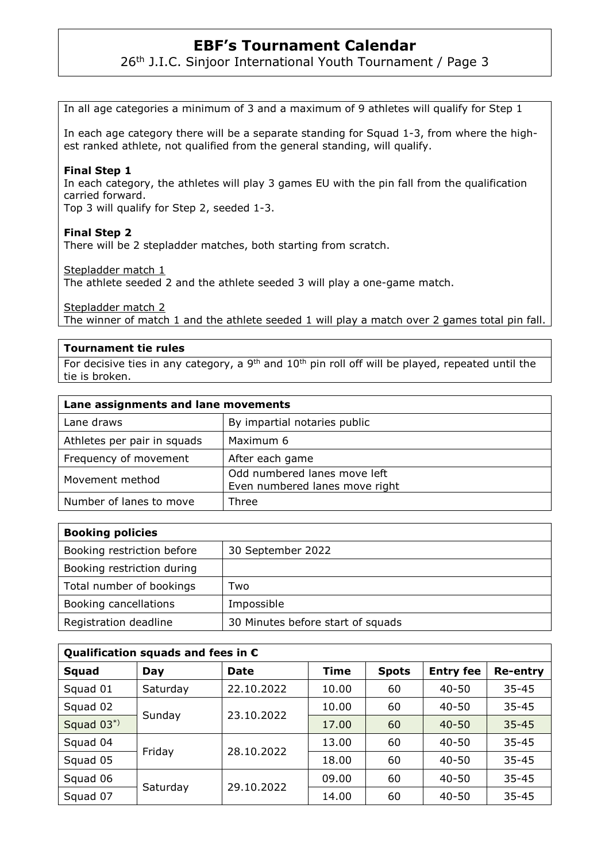26<sup>th</sup> J.I.C. Sinjoor International Youth Tournament / Page 3

In all age categories a minimum of 3 and a maximum of 9 athletes will qualify for Step 1

In each age category there will be a separate standing for Squad 1-3, from where the highest ranked athlete, not qualified from the general standing, will qualify.

#### **Final Step 1**

In each category, the athletes will play 3 games EU with the pin fall from the qualification carried forward.

Top 3 will qualify for Step 2, seeded 1-3.

#### **Final Step 2**

There will be 2 stepladder matches, both starting from scratch.

Stepladder match 1

The athlete seeded 2 and the athlete seeded 3 will play a one-game match.

Stepladder match 2

The winner of match 1 and the athlete seeded 1 will play a match over 2 games total pin fall.

#### **Tournament tie rules**

For decisive ties in any category, a  $9<sup>th</sup>$  and  $10<sup>th</sup>$  pin roll off will be played, repeated until the tie is broken.

| Lane assignments and lane movements |                                                                |  |
|-------------------------------------|----------------------------------------------------------------|--|
| Lane draws                          | By impartial notaries public                                   |  |
| Athletes per pair in squads         | Maximum 6                                                      |  |
| Frequency of movement               | After each game                                                |  |
| Movement method                     | Odd numbered lanes move left<br>Even numbered lanes move right |  |
| Number of lanes to move             | Three                                                          |  |

| <b>Booking policies</b>    |                                   |
|----------------------------|-----------------------------------|
| Booking restriction before | 30 September 2022                 |
| Booking restriction during |                                   |
| Total number of bookings   | Two                               |
| Booking cancellations      | Impossible                        |
| Registration deadline      | 30 Minutes before start of squads |

| Qualification squads and fees in $\epsilon$ |          |             |       |              |                  |                 |
|---------------------------------------------|----------|-------------|-------|--------------|------------------|-----------------|
| Squad                                       | Day      | <b>Date</b> | Time  | <b>Spots</b> | <b>Entry fee</b> | <b>Re-entry</b> |
| Squad 01                                    | Saturday | 22.10.2022  | 10.00 | 60           | $40 - 50$        | $35 - 45$       |
| Squad 02                                    | Sunday   | 23,10,2022  | 10.00 | 60           | $40 - 50$        | $35 - 45$       |
| Squad 03*)                                  |          |             | 17.00 | 60           | $40 - 50$        | $35 - 45$       |
| Squad 04                                    | Friday   | 28.10.2022  | 13.00 | 60           | $40 - 50$        | $35 - 45$       |
| Squad 05                                    |          |             | 18.00 | 60           | $40 - 50$        | $35 - 45$       |
| Squad 06                                    | Saturday | 29.10.2022  | 09.00 | 60           | $40 - 50$        | $35 - 45$       |
| Squad 07                                    |          |             | 14.00 | 60           | $40 - 50$        | $35 - 45$       |